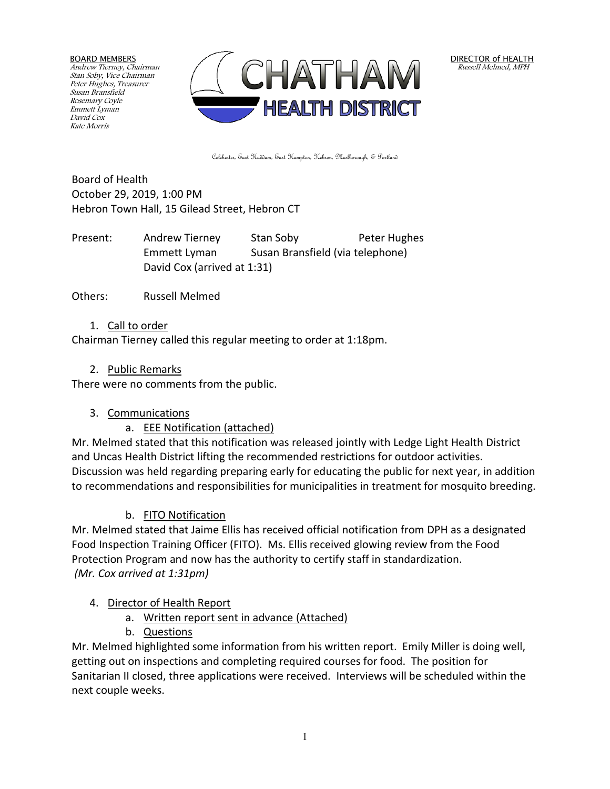BOARD MEMBERS Andrew Tierney, Chairman Stan Soby, Vice Chairman Peter Hughes, Treasurer Susan Bransfield Rosemary Coyle Emmett Lyman David Cox Kate Morris



DIRECTOR of HEALTH Russell Melmed, MPH

Colchester, East Haddam, East Hampton, Hebron, Marlborough, & Portland

Board of Health October 29, 2019, 1:00 PM Hebron Town Hall, 15 Gilead Street, Hebron CT

Present: Andrew Tierney Stan Soby Peter Hughes Emmett Lyman Susan Bransfield (via telephone) David Cox (arrived at 1:31)

Others: Russell Melmed

#### 1. Call to order

Chairman Tierney called this regular meeting to order at 1:18pm.

#### 2. Public Remarks

There were no comments from the public.

### 3. Communications

a. EEE Notification (attached)

Mr. Melmed stated that this notification was released jointly with Ledge Light Health District and Uncas Health District lifting the recommended restrictions for outdoor activities. Discussion was held regarding preparing early for educating the public for next year, in addition to recommendations and responsibilities for municipalities in treatment for mosquito breeding.

### b. FITO Notification

Mr. Melmed stated that Jaime Ellis has received official notification from DPH as a designated Food Inspection Training Officer (FITO). Ms. Ellis received glowing review from the Food Protection Program and now has the authority to certify staff in standardization. *(Mr. Cox arrived at 1:31pm)*

### 4. Director of Health Report

- a. Written report sent in advance (Attached)
- b. Questions

Mr. Melmed highlighted some information from his written report. Emily Miller is doing well, getting out on inspections and completing required courses for food. The position for Sanitarian II closed, three applications were received. Interviews will be scheduled within the next couple weeks.